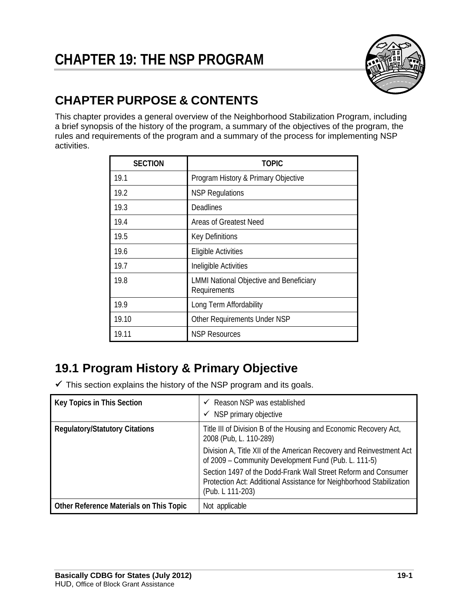

# **CHAPTER PURPOSE & CONTENTS**

This chapter provides a general overview of the Neighborhood Stabilization Program, including a brief synopsis of the history of the program, a summary of the objectives of the program, the rules and requirements of the program and a summary of the process for implementing NSP activities.

| <b>SECTION</b> | <b>TOPIC</b>                                                   |  |  |
|----------------|----------------------------------------------------------------|--|--|
| 19.1           | Program History & Primary Objective                            |  |  |
| 19.2           | <b>NSP Regulations</b>                                         |  |  |
| 19.3           | Deadlines                                                      |  |  |
| 19.4           | Areas of Greatest Need                                         |  |  |
| 19.5           | <b>Key Definitions</b>                                         |  |  |
| 19.6           | <b>Eligible Activities</b>                                     |  |  |
| 19.7           | Ineligible Activities                                          |  |  |
| 19.8           | <b>LMMI National Objective and Beneficiary</b><br>Requirements |  |  |
| 19.9           | Long Term Affordability                                        |  |  |
| 19.10          | Other Requirements Under NSP                                   |  |  |
| 19.11          | <b>NSP Resources</b>                                           |  |  |

# **19.1 Program History & Primary Objective**

 $\checkmark$  This section explains the history of the NSP program and its goals.

| Key Topics in This Section              | $\checkmark$ Reason NSP was established<br>NSP primary objective<br>✓                                                                                      |
|-----------------------------------------|------------------------------------------------------------------------------------------------------------------------------------------------------------|
| <b>Regulatory/Statutory Citations</b>   | Title III of Division B of the Housing and Economic Recovery Act,<br>2008 (Pub, L. 110-289)                                                                |
|                                         | Division A, Title XII of the American Recovery and Reinvestment Act<br>of 2009 - Community Development Fund (Pub. L. 111-5)                                |
|                                         | Section 1497 of the Dodd-Frank Wall Street Reform and Consumer<br>Protection Act: Additional Assistance for Neighborhood Stabilization<br>(Pub. L 111-203) |
| Other Reference Materials on This Topic | Not applicable                                                                                                                                             |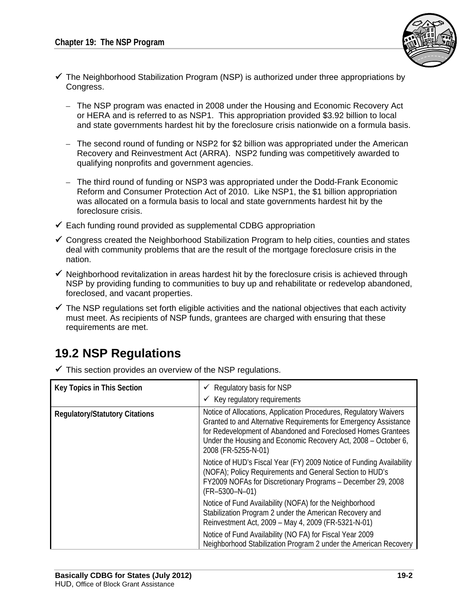

- $\checkmark$  The Neighborhood Stabilization Program (NSP) is authorized under three appropriations by Congress.
	- The NSP program was enacted in 2008 under the Housing and Economic Recovery Act or HERA and is referred to as NSP1. This appropriation provided \$3.92 billion to local and state governments hardest hit by the foreclosure crisis nationwide on a formula basis.
	- The second round of funding or NSP2 for \$2 billion was appropriated under the American Recovery and Reinvestment Act (ARRA). NSP2 funding was competitively awarded to qualifying nonprofits and government agencies.
	- The third round of funding or NSP3 was appropriated under the Dodd-Frank Economic Reform and Consumer Protection Act of 2010. Like NSP1, the \$1 billion appropriation was allocated on a formula basis to local and state governments hardest hit by the foreclosure crisis.
- $\checkmark$  Each funding round provided as supplemental CDBG appropriation
- $\checkmark$  Congress created the Neighborhood Stabilization Program to help cities, counties and states deal with community problems that are the result of the mortgage foreclosure crisis in the nation.
- $\checkmark$  Neighborhood revitalization in areas hardest hit by the foreclosure crisis is achieved through NSP by providing funding to communities to buy up and rehabilitate or redevelop abandoned, foreclosed, and vacant properties.
- $\checkmark$  The NSP regulations set forth eligible activities and the national objectives that each activity must meet. As recipients of NSP funds, grantees are charged with ensuring that these requirements are met.

# **19.2 NSP Regulations**

 $\checkmark$  This section provides an overview of the NSP regulations.

| <b>Key Topics in This Section</b>     | $\checkmark$ Regulatory basis for NSP                                                                                                                                                                                                                                                          |  |  |
|---------------------------------------|------------------------------------------------------------------------------------------------------------------------------------------------------------------------------------------------------------------------------------------------------------------------------------------------|--|--|
|                                       | $\checkmark$ Key regulatory requirements                                                                                                                                                                                                                                                       |  |  |
| <b>Regulatory/Statutory Citations</b> | Notice of Allocations, Application Procedures, Regulatory Waivers<br>Granted to and Alternative Requirements for Emergency Assistance<br>for Redevelopment of Abandoned and Foreclosed Homes Grantees<br>Under the Housing and Economic Recovery Act, 2008 – October 6,<br>2008 (FR-5255-N-01) |  |  |
|                                       | Notice of HUD's Fiscal Year (FY) 2009 Notice of Funding Availability<br>(NOFA); Policy Requirements and General Section to HUD's<br>FY2009 NOFAs for Discretionary Programs - December 29, 2008<br>$(FR-5300-N-01)$                                                                            |  |  |
|                                       | Notice of Fund Availability (NOFA) for the Neighborhood<br>Stabilization Program 2 under the American Recovery and<br>Reinvestment Act, 2009 - May 4, 2009 (FR-5321-N-01)                                                                                                                      |  |  |
|                                       | Notice of Fund Availability (NO FA) for Fiscal Year 2009<br>Neighborhood Stabilization Program 2 under the American Recovery                                                                                                                                                                   |  |  |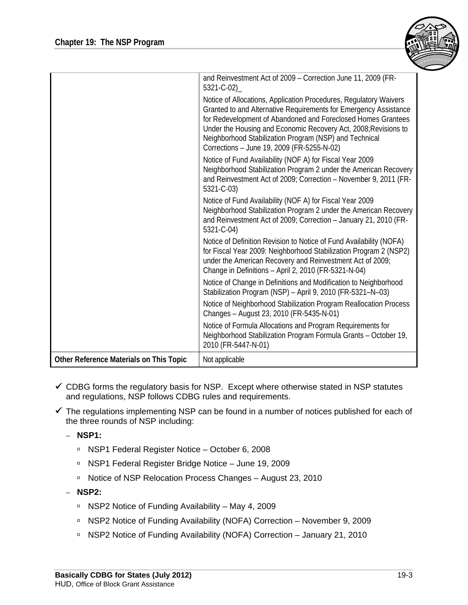

|                                         | and Reinvestment Act of 2009 - Correction June 11, 2009 (FR-<br>5321-C-02)                                                                                                                                                                                                                                                                                                       |
|-----------------------------------------|----------------------------------------------------------------------------------------------------------------------------------------------------------------------------------------------------------------------------------------------------------------------------------------------------------------------------------------------------------------------------------|
|                                         | Notice of Allocations, Application Procedures, Regulatory Waivers<br>Granted to and Alternative Requirements for Emergency Assistance<br>for Redevelopment of Abandoned and Foreclosed Homes Grantees<br>Under the Housing and Economic Recovery Act, 2008; Revisions to<br>Neighborhood Stabilization Program (NSP) and Technical<br>Corrections - June 19, 2009 (FR-5255-N-02) |
|                                         | Notice of Fund Availability (NOF A) for Fiscal Year 2009<br>Neighborhood Stabilization Program 2 under the American Recovery<br>and Reinvestment Act of 2009; Correction - November 9, 2011 (FR-<br>5321-C-03)                                                                                                                                                                   |
|                                         | Notice of Fund Availability (NOF A) for Fiscal Year 2009<br>Neighborhood Stabilization Program 2 under the American Recovery<br>and Reinvestment Act of 2009; Correction - January 21, 2010 (FR-<br>5321-C-04)                                                                                                                                                                   |
|                                         | Notice of Definition Revision to Notice of Fund Availability (NOFA)<br>for Fiscal Year 2009: Neighborhood Stabilization Program 2 (NSP2)<br>under the American Recovery and Reinvestment Act of 2009;<br>Change in Definitions - April 2, 2010 (FR-5321-N-04)                                                                                                                    |
|                                         | Notice of Change in Definitions and Modification to Neighborhood<br>Stabilization Program (NSP) - April 9, 2010 (FR-5321-N-03)                                                                                                                                                                                                                                                   |
|                                         | Notice of Neighborhood Stabilization Program Reallocation Process<br>Changes - August 23, 2010 (FR-5435-N-01)                                                                                                                                                                                                                                                                    |
|                                         | Notice of Formula Allocations and Program Requirements for<br>Neighborhood Stabilization Program Formula Grants - October 19,<br>2010 (FR-5447-N-01)                                                                                                                                                                                                                             |
| Other Reference Materials on This Topic | Not applicable                                                                                                                                                                                                                                                                                                                                                                   |

- $\checkmark$  CDBG forms the regulatory basis for NSP. Except where otherwise stated in NSP statutes and regulations, NSP follows CDBG rules and requirements.
- $\checkmark$  The regulations implementing NSP can be found in a number of notices published for each of the three rounds of NSP including:
	- **NSP1:** 
		- NSP1 Federal Register Notice October 6, 2008
		- NSP1 Federal Register Bridge Notice June 19, 2009
		- □ Notice of NSP Relocation Process Changes August 23, 2010
	- **NSP2:** 
		- □ NSP2 Notice of Funding Availability May 4, 2009
		- □ NSP2 Notice of Funding Availability (NOFA) Correction November 9, 2009
		- □ NSP2 Notice of Funding Availability (NOFA) Correction January 21, 2010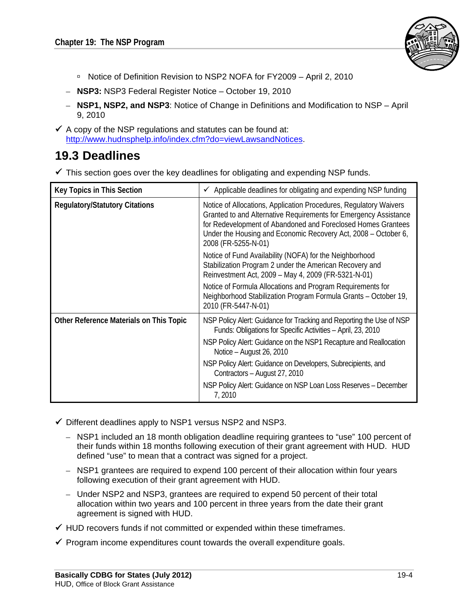

- □ Notice of Definition Revision to NSP2 NOFA for FY2009 April 2, 2010
- – **NSP3:** NSP3 Federal Register Notice October 19, 2010
- – **NSP1, NSP2, and NSP3**: Notice of Change in Definitions and Modification to NSP April 9, 2010
- $\checkmark$  A copy of the NSP regulations and statutes can be found at: http://www.hudnsphelp.info/index.cfm?do=viewLawsandNotices.

# **19.3 Deadlines**

 $\checkmark$  This section goes over the key deadlines for obligating and expending NSP funds.

| <b>Key Topics in This Section</b>       | Applicable deadlines for obligating and expending NSP funding<br>$\checkmark$                                                                                                                                                                                                                  |  |  |
|-----------------------------------------|------------------------------------------------------------------------------------------------------------------------------------------------------------------------------------------------------------------------------------------------------------------------------------------------|--|--|
| <b>Regulatory/Statutory Citations</b>   | Notice of Allocations, Application Procedures, Regulatory Waivers<br>Granted to and Alternative Requirements for Emergency Assistance<br>for Redevelopment of Abandoned and Foreclosed Homes Grantees<br>Under the Housing and Economic Recovery Act, 2008 – October 6,<br>2008 (FR-5255-N-01) |  |  |
|                                         | Notice of Fund Availability (NOFA) for the Neighborhood<br>Stabilization Program 2 under the American Recovery and<br>Reinvestment Act, 2009 - May 4, 2009 (FR-5321-N-01)                                                                                                                      |  |  |
|                                         | Notice of Formula Allocations and Program Requirements for<br>Neighborhood Stabilization Program Formula Grants - October 19,<br>2010 (FR-5447-N-01)                                                                                                                                           |  |  |
| Other Reference Materials on This Topic | NSP Policy Alert: Guidance for Tracking and Reporting the Use of NSP<br>Funds: Obligations for Specific Activities - April, 23, 2010                                                                                                                                                           |  |  |
|                                         | NSP Policy Alert: Guidance on the NSP1 Recapture and Reallocation<br>Notice - August 26, 2010                                                                                                                                                                                                  |  |  |
|                                         | NSP Policy Alert: Guidance on Developers, Subrecipients, and<br>Contractors - August 27, 2010                                                                                                                                                                                                  |  |  |
|                                         | NSP Policy Alert: Guidance on NSP Loan Loss Reserves - December<br>7,2010                                                                                                                                                                                                                      |  |  |

- $\checkmark$  Different deadlines apply to NSP1 versus NSP2 and NSP3.
	- NSP1 included an 18 month obligation deadline requiring grantees to "use" 100 percent of their funds within 18 months following execution of their grant agreement with HUD. HUD defined "use" to mean that a contract was signed for a project.
	- NSP1 grantees are required to expend 100 percent of their allocation within four years following execution of their grant agreement with HUD.
	- Under NSP2 and NSP3, grantees are required to expend 50 percent of their total allocation within two years and 100 percent in three years from the date their grant agreement is signed with HUD.
- $\checkmark$  HUD recovers funds if not committed or expended within these timeframes.
- $\checkmark$  Program income expenditures count towards the overall expenditure goals.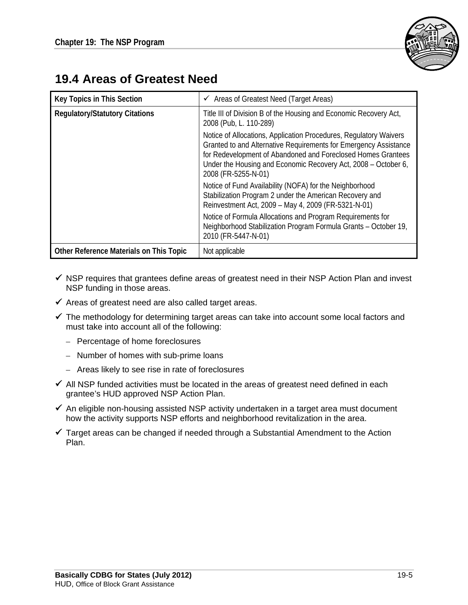

## **19.4 Areas of Greatest Need**

| <b>Key Topics in This Section</b>       | $\checkmark$ Areas of Greatest Need (Target Areas)                                                                                                                                                                                                                                             |  |  |
|-----------------------------------------|------------------------------------------------------------------------------------------------------------------------------------------------------------------------------------------------------------------------------------------------------------------------------------------------|--|--|
| <b>Regulatory/Statutory Citations</b>   | Title III of Division B of the Housing and Economic Recovery Act,<br>2008 (Pub, L. 110-289)                                                                                                                                                                                                    |  |  |
|                                         | Notice of Allocations, Application Procedures, Regulatory Waivers<br>Granted to and Alternative Requirements for Emergency Assistance<br>for Redevelopment of Abandoned and Foreclosed Homes Grantees<br>Under the Housing and Economic Recovery Act, 2008 – October 6,<br>2008 (FR-5255-N-01) |  |  |
|                                         | Notice of Fund Availability (NOFA) for the Neighborhood<br>Stabilization Program 2 under the American Recovery and<br>Reinvestment Act, 2009 - May 4, 2009 (FR-5321-N-01)                                                                                                                      |  |  |
|                                         | Notice of Formula Allocations and Program Requirements for<br>Neighborhood Stabilization Program Formula Grants - October 19,<br>2010 (FR-5447-N-01)                                                                                                                                           |  |  |
| Other Reference Materials on This Topic | Not applicable                                                                                                                                                                                                                                                                                 |  |  |

- $\checkmark$  NSP requires that grantees define areas of greatest need in their NSP Action Plan and invest NSP funding in those areas.
- $\checkmark$  Areas of greatest need are also called target areas.
- $\checkmark$  The methodology for determining target areas can take into account some local factors and must take into account all of the following:
	- Percentage of home foreclosures
	- Number of homes with sub-prime loans
	- Areas likely to see rise in rate of foreclosures
- $\checkmark$  All NSP funded activities must be located in the areas of greatest need defined in each grantee's HUD approved NSP Action Plan.
- $\checkmark$  An eligible non-housing assisted NSP activity undertaken in a target area must document how the activity supports NSP efforts and neighborhood revitalization in the area.
- $\checkmark$  Target areas can be changed if needed through a Substantial Amendment to the Action Plan.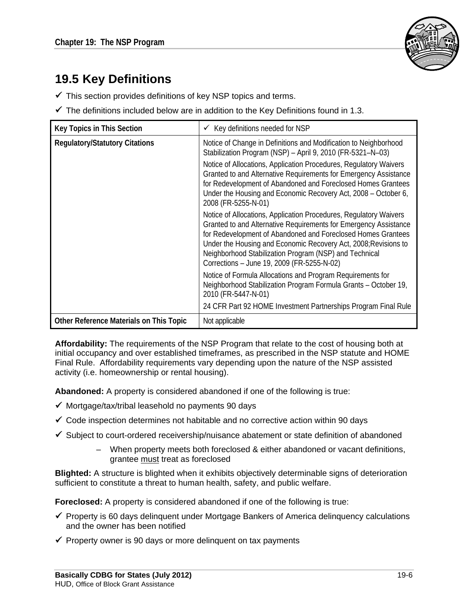

# **19.5 Key Definitions**

- $\checkmark$  This section provides definitions of key NSP topics and terms.
- $\checkmark$  The definitions included below are in addition to the Key Definitions found in 1.3.

| Key Topics in This Section              | Key definitions needed for NSP<br>$\checkmark$                                                                                                                                                                                                                                                                                                                                   |  |  |
|-----------------------------------------|----------------------------------------------------------------------------------------------------------------------------------------------------------------------------------------------------------------------------------------------------------------------------------------------------------------------------------------------------------------------------------|--|--|
| <b>Regulatory/Statutory Citations</b>   | Notice of Change in Definitions and Modification to Neighborhood<br>Stabilization Program (NSP) - April 9, 2010 (FR-5321-N-03)                                                                                                                                                                                                                                                   |  |  |
|                                         | Notice of Allocations, Application Procedures, Regulatory Waivers<br>Granted to and Alternative Requirements for Emergency Assistance<br>for Redevelopment of Abandoned and Foreclosed Homes Grantees<br>Under the Housing and Economic Recovery Act, 2008 – October 6,<br>2008 (FR-5255-N-01)                                                                                   |  |  |
|                                         | Notice of Allocations, Application Procedures, Regulatory Waivers<br>Granted to and Alternative Requirements for Emergency Assistance<br>for Redevelopment of Abandoned and Foreclosed Homes Grantees<br>Under the Housing and Economic Recovery Act, 2008; Revisions to<br>Neighborhood Stabilization Program (NSP) and Technical<br>Corrections - June 19, 2009 (FR-5255-N-02) |  |  |
|                                         | Notice of Formula Allocations and Program Requirements for<br>Neighborhood Stabilization Program Formula Grants - October 19,<br>2010 (FR-5447-N-01)                                                                                                                                                                                                                             |  |  |
|                                         | 24 CFR Part 92 HOME Investment Partnerships Program Final Rule                                                                                                                                                                                                                                                                                                                   |  |  |
| Other Reference Materials on This Topic | Not applicable                                                                                                                                                                                                                                                                                                                                                                   |  |  |

**Affordability:** The requirements of the NSP Program that relate to the cost of housing both at initial occupancy and over established timeframes, as prescribed in the NSP statute and HOME Final Rule. Affordability requirements vary depending upon the nature of the NSP assisted activity (i.e. homeownership or rental housing).

**Abandoned:** A property is considered abandoned if one of the following is true:

- $\checkmark$  Mortgage/tax/tribal leasehold no payments 90 days
- $\checkmark$  Code inspection determines not habitable and no corrective action within 90 days
- $\checkmark$  Subject to court-ordered receivership/nuisance abatement or state definition of abandoned
	- When property meets both foreclosed & either abandoned or vacant definitions, grantee must treat as foreclosed

**Blighted:** A structure is blighted when it exhibits objectively determinable signs of deterioration sufficient to constitute a threat to human health, safety, and public welfare.

**Foreclosed:** A property is considered abandoned if one of the following is true:

- $\checkmark$  Property is 60 days delinquent under Mortgage Bankers of America delinquency calculations and the owner has been notified
- $\checkmark$  Property owner is 90 days or more delinguent on tax payments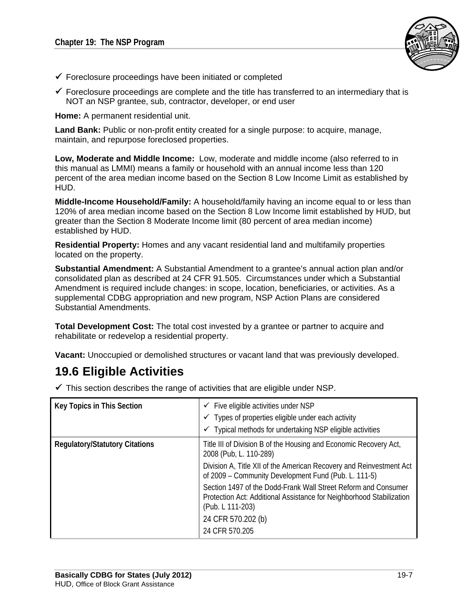

- $\checkmark$  Foreclosure proceedings have been initiated or completed
- $\checkmark$  Foreclosure proceedings are complete and the title has transferred to an intermediary that is NOT an NSP grantee, sub, contractor, developer, or end user

**Home:** A permanent residential unit.

**Land Bank:** Public or non-profit entity created for a single purpose: to acquire, manage, maintain, and repurpose foreclosed properties.

**Low, Moderate and Middle Income:** Low, moderate and middle income (also referred to in this manual as LMMI) means a family or household with an annual income less than 120 percent of the area median income based on the Section 8 Low Income Limit as established by HUD.

**Middle-Income Household/Family:** A household/family having an income equal to or less than 120% of area median income based on the Section 8 Low Income limit established by HUD, but greater than the Section 8 Moderate Income limit (80 percent of area median income) established by HUD.

**Residential Property:** Homes and any vacant residential land and multifamily properties located on the property.

**Substantial Amendment:** A Substantial Amendment to a grantee's annual action plan and/or consolidated plan as described at 24 CFR 91.505. Circumstances under which a Substantial Amendment is required include changes: in scope, location, beneficiaries, or activities. As a supplemental CDBG appropriation and new program, NSP Action Plans are considered Substantial Amendments.

**Total Development Cost:** The total cost invested by a grantee or partner to acquire and rehabilitate or redevelop a residential property.

**Vacant:** Unoccupied or demolished structures or vacant land that was previously developed.

## **19.6 Eligible Activities**

| $\checkmark$ This section describes the range of activities that are eligible under NSP. |  |
|------------------------------------------------------------------------------------------|--|
|                                                                                          |  |

| Key Topics in This Section            | $\checkmark$ Five eligible activities under NSP<br>$\checkmark$ Types of properties eligible under each activity<br>$\checkmark$ Typical methods for undertaking NSP eligible activities |  |
|---------------------------------------|------------------------------------------------------------------------------------------------------------------------------------------------------------------------------------------|--|
| <b>Regulatory/Statutory Citations</b> | Title III of Division B of the Housing and Economic Recovery Act,<br>2008 (Pub, L. 110-289)                                                                                              |  |
|                                       | Division A, Title XII of the American Recovery and Reinvestment Act<br>of 2009 – Community Development Fund (Pub. L. 111-5)                                                              |  |
|                                       | Section 1497 of the Dodd-Frank Wall Street Reform and Consumer<br>Protection Act: Additional Assistance for Neighborhood Stabilization<br>(Pub. L 111-203)                               |  |
|                                       | 24 CFR 570.202 (b)                                                                                                                                                                       |  |
|                                       | 24 CFR 570.205                                                                                                                                                                           |  |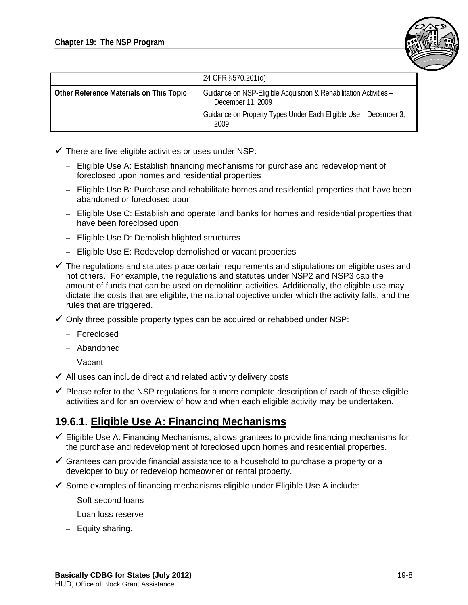

|                                         | 24 CFR §570.201(d)                                                                      |  |
|-----------------------------------------|-----------------------------------------------------------------------------------------|--|
| Other Reference Materials on This Topic | Guidance on NSP-Eligible Acquisition & Rehabilitation Activities -<br>December 11, 2009 |  |
|                                         | Guidance on Property Types Under Each Eligible Use - December 3,<br>2009                |  |

- $\checkmark$  There are five eligible activities or uses under NSP:
	- Eligible Use A: Establish financing mechanisms for purchase and redevelopment of foreclosed upon homes and residential properties
	- Eligible Use B: Purchase and rehabilitate homes and residential properties that have been abandoned or foreclosed upon
	- Eligible Use C: Establish and operate land banks for homes and residential properties that have been foreclosed upon
	- Eligible Use D: Demolish blighted structures
	- Eligible Use E: Redevelop demolished or vacant properties
- $\checkmark$  The regulations and statutes place certain requirements and stipulations on eligible uses and not others. For example, the regulations and statutes under NSP2 and NSP3 cap the amount of funds that can be used on demolition activities. Additionally, the eligible use may dictate the costs that are eligible, the national objective under which the activity falls, and the rules that are triggered.
- $\checkmark$  Only three possible property types can be acquired or rehabbed under NSP:
	- Foreclosed
	- Abandoned
	- Vacant
- $\checkmark$  All uses can include direct and related activity delivery costs
- $\checkmark$  Please refer to the NSP regulations for a more complete description of each of these eligible activities and for an overview of how and when each eligible activity may be undertaken.

### **19.6.1. Eligible Use A: Financing Mechanisms**

- $\checkmark$  Eligible Use A: Financing Mechanisms, allows grantees to provide financing mechanisms for the purchase and redevelopment of foreclosed upon homes and residential properties.
- $\checkmark$  Grantees can provide financial assistance to a household to purchase a property or a developer to buy or redevelop homeowner or rental property.
- $\checkmark$  Some examples of financing mechanisms eligible under Eligible Use A include:
	- Soft second loans
	- – Loan loss reserve
	- Equity sharing.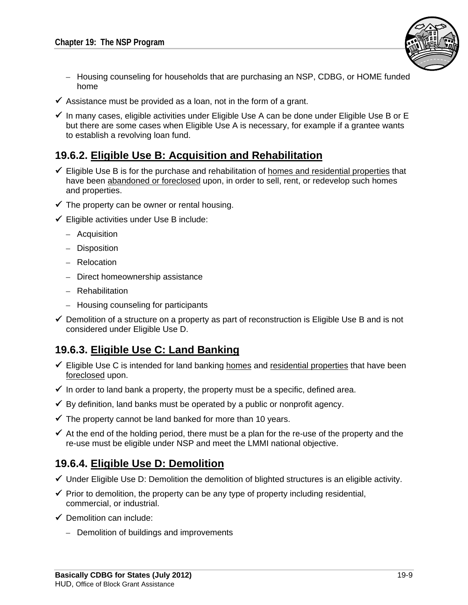

- $-$  Housing counseling for households that are purchasing an NSP, CDBG, or HOME funded home
- $\checkmark$  Assistance must be provided as a loan, not in the form of a grant.
- $\checkmark$  In many cases, eligible activities under Eligible Use A can be done under Eligible Use B or E but there are some cases when Eligible Use A is necessary, for example if a grantee wants to establish a revolving loan fund.

#### **19.6.2. Eligible Use B: Acquisition and Rehabilitation**

- $\checkmark$  Eligible Use B is for the purchase and rehabilitation of homes and residential properties that have been abandoned or foreclosed upon, in order to sell, rent, or redevelop such homes and properties.
- $\checkmark$  The property can be owner or rental housing.
- $\checkmark$  Eligible activities under Use B include:
	- Acquisition
	- Disposition
	- Relocation
	- Direct homeownership assistance
	- Rehabilitation
	- Housing counseling for participants
- $\checkmark$  Demolition of a structure on a property as part of reconstruction is Eligible Use B and is not considered under Eligible Use D.

### **19.6.3. Eligible Use C: Land Banking**

- $\checkmark$  Eligible Use C is intended for land banking homes and residential properties that have been foreclosed upon.
- $\checkmark$  In order to land bank a property, the property must be a specific, defined area.
- $\checkmark$  By definition, land banks must be operated by a public or nonprofit agency.
- $\checkmark$  The property cannot be land banked for more than 10 years.
- $\checkmark$  At the end of the holding period, there must be a plan for the re-use of the property and the re-use must be eligible under NSP and meet the LMMI national objective.

### **19.6.4. Eligible Use D: Demolition**

- $\checkmark$  Under Eligible Use D: Demolition the demolition of blighted structures is an eligible activity.
- $\checkmark$  Prior to demolition, the property can be any type of property including residential, commercial, or industrial.
- $\checkmark$  Demolition can include:
	- Demolition of buildings and improvements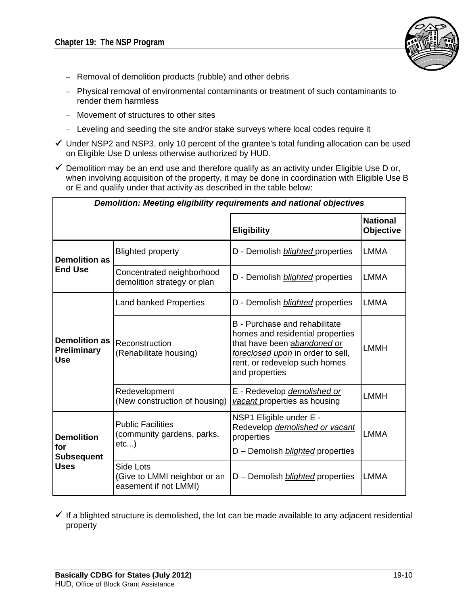

- Removal of demolition products (rubble) and other debris
- Physical removal of environmental contaminants or treatment of such contaminants to render them harmless
- – Movement of structures to other sites
- Leveling and seeding the site and/or stake surveys where local codes require it
- $\checkmark$  Under NSP2 and NSP3, only 10 percent of the grantee's total funding allocation can be used on Eligible Use D unless otherwise authorized by HUD.
- $\checkmark$  Demolition may be an end use and therefore qualify as an activity under Eligible Use D or, when involving acquisition of the property, it may be done in coordination with Eligible Use B or E and qualify under that activity as described in the table below:

| Demolition: Meeting eligibility requirements and national objectives |                                                                    |                                                                                                                                                                                          |                              |  |  |  |
|----------------------------------------------------------------------|--------------------------------------------------------------------|------------------------------------------------------------------------------------------------------------------------------------------------------------------------------------------|------------------------------|--|--|--|
|                                                                      |                                                                    | <b>Eligibility</b>                                                                                                                                                                       | <b>National</b><br>Objective |  |  |  |
| <b>Demolition as</b>                                                 | <b>Blighted property</b>                                           | D - Demolish <b>blighted</b> properties                                                                                                                                                  | <b>LMMA</b>                  |  |  |  |
| <b>End Use</b>                                                       | Concentrated neighborhood<br>demolition strategy or plan           | D - Demolish <i>blighted</i> properties                                                                                                                                                  | <b>LMMA</b>                  |  |  |  |
|                                                                      | <b>Land banked Properties</b>                                      | D - Demolish <b>blighted</b> properties                                                                                                                                                  | <b>LMMA</b>                  |  |  |  |
| <b>Demolition as</b><br><b>Preliminary</b><br><b>Use</b>             | Reconstruction<br>(Rehabilitate housing)                           | B - Purchase and rehabilitate<br>homes and residential properties<br>that have been abandoned or<br>foreclosed upon in order to sell,<br>rent, or redevelop such homes<br>and properties | <b>LMMH</b>                  |  |  |  |
|                                                                      | Redevelopment<br>(New construction of housing)                     | E - Redevelop demolished or<br>vacant properties as housing                                                                                                                              | <b>LMMH</b>                  |  |  |  |
| <b>Demolition</b><br>for<br><b>Subsequent</b>                        | <b>Public Facilities</b><br>(community gardens, parks,<br>etc      | NSP1 Eligible under E -<br>Redevelop demolished or vacant<br>properties<br>D - Demolish <i>blighted</i> properties                                                                       | <b>LMMA</b>                  |  |  |  |
| <b>Uses</b>                                                          | Side Lots<br>(Give to LMMI neighbor or an<br>easement if not LMMI) | D - Demolish <i>blighted</i> properties                                                                                                                                                  | <b>LMMA</b>                  |  |  |  |

 $\checkmark$  If a blighted structure is demolished, the lot can be made available to any adjacent residential property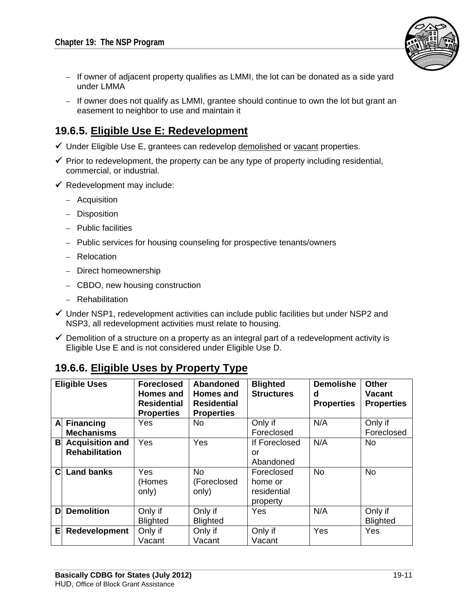

- $-$  If owner of adjacent property qualifies as LMMI, the lot can be donated as a side yard under LMMA
- If owner does not qualify as LMMI, grantee should continue to own the lot but grant an easement to neighbor to use and maintain it

### **19.6.5. Eligible Use E: Redevelopment**

- $\checkmark$  Under Eligible Use E, grantees can redevelop demolished or vacant properties.
- $\checkmark$  Prior to redevelopment, the property can be any type of property including residential, commercial, or industrial.
- $\checkmark$  Redevelopment may include:
	- Acquisition
	- Disposition
	- Public facilities
	- Public services for housing counseling for prospective tenants/owners
	- Relocation
	- Direct homeownership
	- CBDO, new housing construction
	- Rehabilitation
- $\checkmark$  Under NSP1, redevelopment activities can include public facilities but under NSP2 and NSP3, all redevelopment activities must relate to housing.
- $\checkmark$  Demolition of a structure on a property as an integral part of a redevelopment activity is Eligible Use E and is not considered under Eligible Use D.

## **19.6.6. Eligible Uses by Property Type**

| <b>Eligible Uses</b> |                          | <b>Foreclosed</b><br>Homes and<br><b>Residential</b><br><b>Properties</b> | <b>Abandoned</b><br><b>Homes and</b><br><b>Residential</b><br><b>Properties</b> | <b>Blighted</b><br><b>Structures</b> | <b>Demolishe</b><br>d<br><b>Properties</b> | <b>Other</b><br><b>Vacant</b><br><b>Properties</b> |
|----------------------|--------------------------|---------------------------------------------------------------------------|---------------------------------------------------------------------------------|--------------------------------------|--------------------------------------------|----------------------------------------------------|
|                      | A Financing              | Yes                                                                       | <b>No</b>                                                                       | Only if                              | N/A                                        | Only if                                            |
|                      | <b>Mechanisms</b>        |                                                                           |                                                                                 | Foreclosed                           |                                            | Foreclosed                                         |
|                      | <b>B</b> Acquisition and | Yes                                                                       | Yes                                                                             | If Foreclosed                        | N/A                                        | <b>No</b>                                          |
|                      | <b>Rehabilitation</b>    |                                                                           |                                                                                 | or                                   |                                            |                                                    |
|                      |                          |                                                                           |                                                                                 | Abandoned                            |                                            |                                                    |
| $\mathbf C$          | <b>Land banks</b>        | Yes                                                                       | <b>No</b>                                                                       | Foreclosed                           | <b>No</b>                                  | <b>No</b>                                          |
|                      |                          | (Homes                                                                    | (Foreclosed                                                                     | home or                              |                                            |                                                    |
|                      |                          | only)                                                                     | only)                                                                           | residential                          |                                            |                                                    |
|                      |                          |                                                                           |                                                                                 | property                             |                                            |                                                    |
| D                    | <b>Demolition</b>        | Only if                                                                   | Only if                                                                         | Yes                                  | N/A                                        | Only if                                            |
|                      |                          | <b>Blighted</b>                                                           | <b>Blighted</b>                                                                 |                                      |                                            | <b>Blighted</b>                                    |
| EI                   | Redevelopment            | Only if                                                                   | Only if                                                                         | Only if                              | Yes                                        | Yes                                                |
|                      |                          | Vacant                                                                    | Vacant                                                                          | Vacant                               |                                            |                                                    |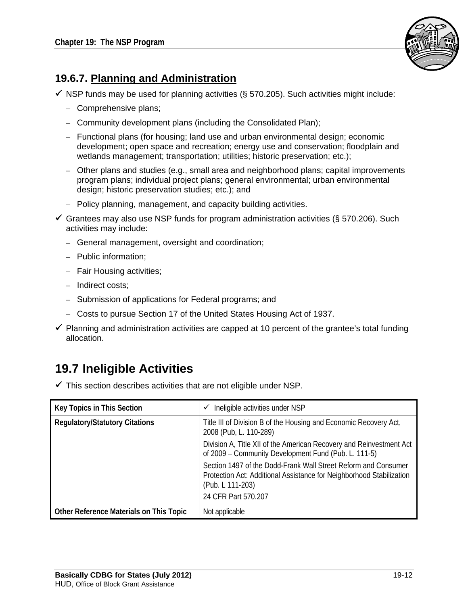

## **19.6.7. Planning and Administration**

 $\checkmark$  NSP funds may be used for planning activities (§ 570.205). Such activities might include:

- Comprehensive plans;
- Community development plans (including the Consolidated Plan);
- Functional plans (for housing; land use and urban environmental design; economic development; open space and recreation; energy use and conservation; floodplain and wetlands management; transportation; utilities; historic preservation; etc.);
- Other plans and studies (e.g., small area and neighborhood plans; capital improvements program plans; individual project plans; general environmental; urban environmental design; historic preservation studies; etc.); and
- Policy planning, management, and capacity building activities.
- Grantees may also use NSP funds for program administration activities (§ 570.206). Such activities may include:
	- General management, oversight and coordination;
	- Public information;
	- Fair Housing activities;
	- Indirect costs;
	- Submission of applications for Federal programs; and
	- Costs to pursue Section 17 of the United States Housing Act of 1937.
- $\checkmark$  Planning and administration activities are capped at 10 percent of the grantee's total funding allocation.

# **19.7 Ineligible Activities**

 $\checkmark$  This section describes activities that are not eligible under NSP.

| Key Topics in This Section              | Ineligible activities under NSP<br>✓                                                                                                                       |
|-----------------------------------------|------------------------------------------------------------------------------------------------------------------------------------------------------------|
| <b>Regulatory/Statutory Citations</b>   | Title III of Division B of the Housing and Economic Recovery Act,<br>2008 (Pub, L. 110-289)                                                                |
|                                         | Division A, Title XII of the American Recovery and Reinvestment Act<br>of 2009 - Community Development Fund (Pub. L. 111-5)                                |
|                                         | Section 1497 of the Dodd-Frank Wall Street Reform and Consumer<br>Protection Act: Additional Assistance for Neighborhood Stabilization<br>(Pub. L 111-203) |
|                                         | 24 CFR Part 570.207                                                                                                                                        |
| Other Reference Materials on This Topic | Not applicable                                                                                                                                             |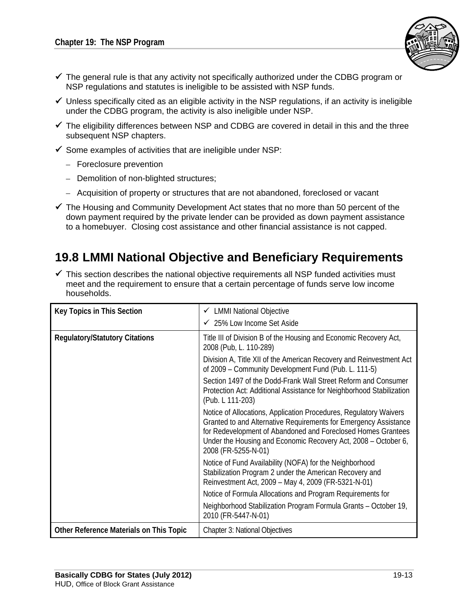

- $\checkmark$  The general rule is that any activity not specifically authorized under the CDBG program or NSP regulations and statutes is ineligible to be assisted with NSP funds.
- $\checkmark$  Unless specifically cited as an eligible activity in the NSP regulations, if an activity is ineligible under the CDBG program, the activity is also ineligible under NSP.
- $\checkmark$  The eligibility differences between NSP and CDBG are covered in detail in this and the three subsequent NSP chapters.
- $\checkmark$  Some examples of activities that are ineligible under NSP:
	- Foreclosure prevention
	- Demolition of non-blighted structures;
	- Acquisition of property or structures that are not abandoned, foreclosed or vacant
- $\checkmark$  The Housing and Community Development Act states that no more than 50 percent of the down payment required by the private lender can be provided as down payment assistance to a homebuyer. Closing cost assistance and other financial assistance is not capped.

## **19.8 LMMI National Objective and Beneficiary Requirements**

 $\checkmark$  This section describes the national objective requirements all NSP funded activities must meet and the requirement to ensure that a certain percentage of funds serve low income households.

| <b>Key Topics in This Section</b>       | ← LMMI National Objective                                                                                                                                                                                                                                                                      |
|-----------------------------------------|------------------------------------------------------------------------------------------------------------------------------------------------------------------------------------------------------------------------------------------------------------------------------------------------|
|                                         | $\checkmark$ 25% Low Income Set Aside                                                                                                                                                                                                                                                          |
| <b>Regulatory/Statutory Citations</b>   | Title III of Division B of the Housing and Economic Recovery Act,<br>2008 (Pub, L. 110-289)                                                                                                                                                                                                    |
|                                         | Division A, Title XII of the American Recovery and Reinvestment Act<br>of 2009 – Community Development Fund (Pub. L. 111-5)                                                                                                                                                                    |
|                                         | Section 1497 of the Dodd-Frank Wall Street Reform and Consumer<br>Protection Act: Additional Assistance for Neighborhood Stabilization<br>(Pub. L 111-203)                                                                                                                                     |
|                                         | Notice of Allocations, Application Procedures, Regulatory Waivers<br>Granted to and Alternative Requirements for Emergency Assistance<br>for Redevelopment of Abandoned and Foreclosed Homes Grantees<br>Under the Housing and Economic Recovery Act, 2008 - October 6,<br>2008 (FR-5255-N-01) |
|                                         | Notice of Fund Availability (NOFA) for the Neighborhood<br>Stabilization Program 2 under the American Recovery and<br>Reinvestment Act, 2009 - May 4, 2009 (FR-5321-N-01)                                                                                                                      |
|                                         | Notice of Formula Allocations and Program Requirements for                                                                                                                                                                                                                                     |
|                                         | Neighborhood Stabilization Program Formula Grants - October 19,<br>2010 (FR-5447-N-01)                                                                                                                                                                                                         |
| Other Reference Materials on This Topic | <b>Chapter 3: National Objectives</b>                                                                                                                                                                                                                                                          |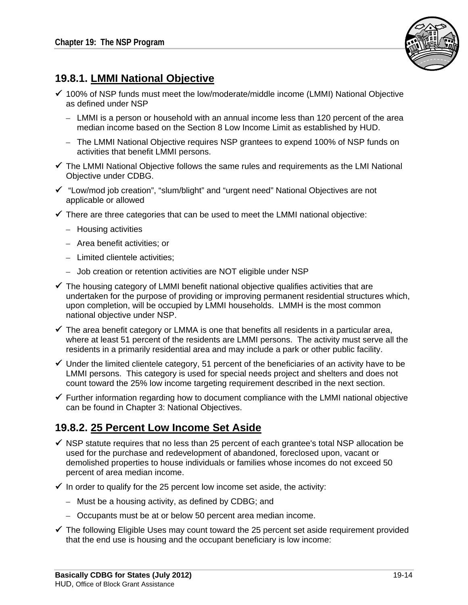

## **19.8.1. LMMI National Objective**

- $\checkmark$  100% of NSP funds must meet the low/moderate/middle income (LMMI) National Objective as defined under NSP
	- LMMI is a person or household with an annual income less than 120 percent of the area median income based on the Section 8 Low Income Limit as established by HUD.
	- The LMMI National Objective requires NSP grantees to expend 100% of NSP funds on activities that benefit LMMI persons.
- $\checkmark$  The LMMI National Objective follows the same rules and requirements as the LMI National Objective under CDBG.
- "Low/mod job creation", "slum/blight" and "urgent need" National Objectives are not applicable or allowed
- $\checkmark$  There are three categories that can be used to meet the LMMI national objective:
	- Housing activities
	- – Area benefit activities; or
	- Limited clientele activities:
	- Job creation or retention activities are NOT eligible under NSP
- $\checkmark$  The housing category of LMMI benefit national objective qualifies activities that are undertaken for the purpose of providing or improving permanent residential structures which, upon completion, will be occupied by LMMI households. LMMH is the most common national objective under NSP.
- $\checkmark$  The area benefit category or LMMA is one that benefits all residents in a particular area, where at least 51 percent of the residents are LMMI persons. The activity must serve all the residents in a primarily residential area and may include a park or other public facility.
- $\checkmark$  Under the limited clientele category, 51 percent of the beneficiaries of an activity have to be LMMI persons. This category is used for special needs project and shelters and does not count toward the 25% low income targeting requirement described in the next section.
- $\checkmark$  Further information regarding how to document compliance with the LMMI national objective can be found in Chapter 3: National Objectives.

### **19.8.2. 25 Percent Low Income Set Aside**

- $\checkmark$  NSP statute requires that no less than 25 percent of each grantee's total NSP allocation be used for the purchase and redevelopment of abandoned, foreclosed upon, vacant or demolished properties to house individuals or families whose incomes do not exceed 50 percent of area median income.
- $\checkmark$  In order to qualify for the 25 percent low income set aside, the activity:
	- $-$  Must be a housing activity, as defined by CDBG; and
	- Occupants must be at or below 50 percent area median income.
- $\checkmark$  The following Eligible Uses may count toward the 25 percent set aside requirement provided that the end use is housing and the occupant beneficiary is low income: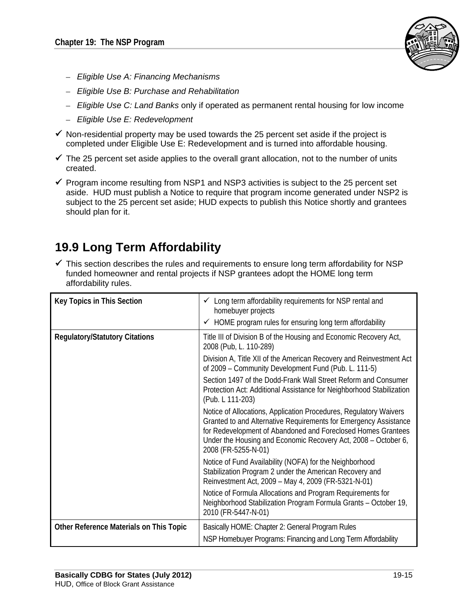

- *Eligible Use A: Financing Mechanisms*
- *Eligible Use B: Purchase and Rehabilitation*
- *Eligible Use C: Land Banks* only if operated as permanent rental housing for low income
- *Eligible Use E: Redevelopment*
- $\checkmark$  Non-residential property may be used towards the 25 percent set aside if the project is completed under Eligible Use E: Redevelopment and is turned into affordable housing.
- $\checkmark$  The 25 percent set aside applies to the overall grant allocation, not to the number of units created.
- $\checkmark$  Program income resulting from NSP1 and NSP3 activities is subject to the 25 percent set aside. HUD must publish a Notice to require that program income generated under NSP2 is subject to the 25 percent set aside; HUD expects to publish this Notice shortly and grantees should plan for it.

# **19.9 Long Term Affordability**

 $\checkmark$  This section describes the rules and requirements to ensure long term affordability for NSP funded homeowner and rental projects if NSP grantees adopt the HOME long term affordability rules.

| <b>Key Topics in This Section</b>       | Long term affordability requirements for NSP rental and<br>✓<br>homebuyer projects<br>$\checkmark$ HOME program rules for ensuring long term affordability                                                                                                                                     |
|-----------------------------------------|------------------------------------------------------------------------------------------------------------------------------------------------------------------------------------------------------------------------------------------------------------------------------------------------|
| <b>Regulatory/Statutory Citations</b>   | Title III of Division B of the Housing and Economic Recovery Act,<br>2008 (Pub, L. 110-289)                                                                                                                                                                                                    |
|                                         | Division A, Title XII of the American Recovery and Reinvestment Act<br>of 2009 - Community Development Fund (Pub. L. 111-5)                                                                                                                                                                    |
|                                         | Section 1497 of the Dodd-Frank Wall Street Reform and Consumer<br>Protection Act: Additional Assistance for Neighborhood Stabilization<br>(Pub. L 111-203)                                                                                                                                     |
|                                         | Notice of Allocations, Application Procedures, Regulatory Waivers<br>Granted to and Alternative Requirements for Emergency Assistance<br>for Redevelopment of Abandoned and Foreclosed Homes Grantees<br>Under the Housing and Economic Recovery Act, 2008 – October 6,<br>2008 (FR-5255-N-01) |
|                                         | Notice of Fund Availability (NOFA) for the Neighborhood<br>Stabilization Program 2 under the American Recovery and<br>Reinvestment Act, 2009 - May 4, 2009 (FR-5321-N-01)                                                                                                                      |
|                                         | Notice of Formula Allocations and Program Requirements for<br>Neighborhood Stabilization Program Formula Grants - October 19,<br>2010 (FR-5447-N-01)                                                                                                                                           |
| Other Reference Materials on This Topic | Basically HOME: Chapter 2: General Program Rules                                                                                                                                                                                                                                               |
|                                         | NSP Homebuyer Programs: Financing and Long Term Affordability                                                                                                                                                                                                                                  |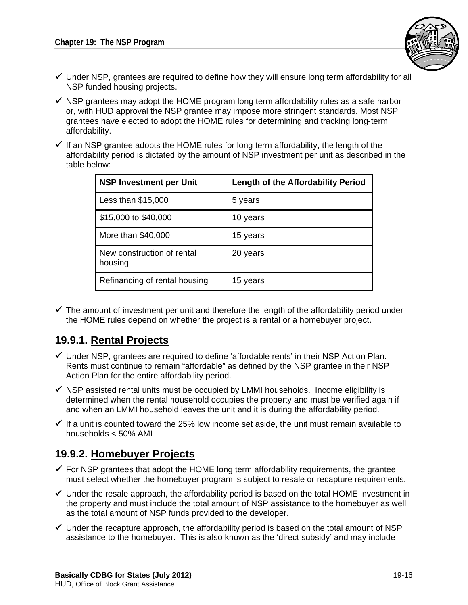

- $\checkmark$  Under NSP, grantees are required to define how they will ensure long term affordability for all NSP funded housing projects.
- $\checkmark$  NSP grantees may adopt the HOME program long term affordability rules as a safe harbor or, with HUD approval the NSP grantee may impose more stringent standards. Most NSP grantees have elected to adopt the HOME rules for determining and tracking long‐term affordability.
- $\checkmark$  If an NSP grantee adopts the HOME rules for long term affordability, the length of the affordability period is dictated by the amount of NSP investment per unit as described in the table below:

| <b>NSP Investment per Unit</b>        | <b>Length of the Affordability Period</b> |
|---------------------------------------|-------------------------------------------|
| Less than \$15,000                    | 5 years                                   |
| \$15,000 to \$40,000                  | 10 years                                  |
| More than \$40,000                    | 15 years                                  |
| New construction of rental<br>housing | 20 years                                  |
| Refinancing of rental housing         | 15 years                                  |

 $\checkmark$  The amount of investment per unit and therefore the length of the affordability period under the HOME rules depend on whether the project is a rental or a homebuyer project.

### **19.9.1. Rental Projects**

- $\checkmark$  Under NSP, grantees are required to define 'affordable rents' in their NSP Action Plan. Rents must continue to remain "affordable" as defined by the NSP grantee in their NSP Action Plan for the entire affordability period.
- $\checkmark$  NSP assisted rental units must be occupied by LMMI households. Income eligibility is determined when the rental household occupies the property and must be verified again if and when an LMMI household leaves the unit and it is during the affordability period.
- $\checkmark$  If a unit is counted toward the 25% low income set aside, the unit must remain available to households < 50% AMI

### **19.9.2. Homebuyer Projects**

- $\checkmark$  For NSP grantees that adopt the HOME long term affordability requirements, the grantee must select whether the homebuyer program is subject to resale or recapture requirements.
- $\checkmark$  Under the resale approach, the affordability period is based on the total HOME investment in the property and must include the total amount of NSP assistance to the homebuyer as well as the total amount of NSP funds provided to the developer.
- $\checkmark$  Under the recapture approach, the affordability period is based on the total amount of NSP assistance to the homebuyer. This is also known as the 'direct subsidy' and may include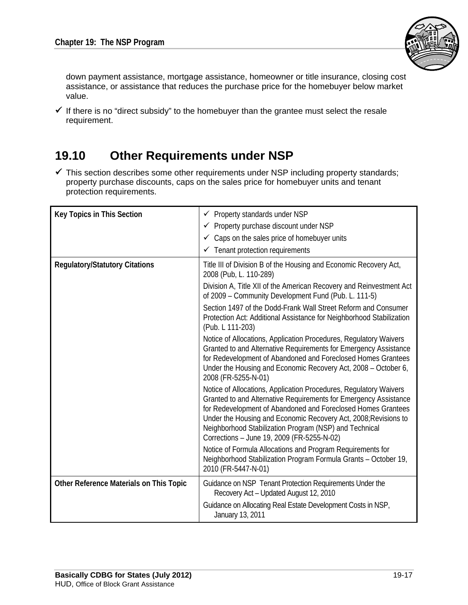

down payment assistance, mortgage assistance, homeowner or title insurance, closing cost assistance, or assistance that reduces the purchase price for the homebuyer below market value.

 $\checkmark$  If there is no "direct subsidy" to the homebuyer than the grantee must select the resale requirement.

# **19.10 Other Requirements under NSP**

 $\checkmark$  This section describes some other requirements under NSP including property standards; property purchase discounts, caps on the sales price for homebuyer units and tenant protection requirements.

| <b>Key Topics in This Section</b>       | Property standards under NSP<br>✓<br>← Property purchase discount under NSP<br>$\checkmark$ Caps on the sales price of homebuyer units<br>$\checkmark$ Tenant protection requirements                                                                                                                                                                                            |
|-----------------------------------------|----------------------------------------------------------------------------------------------------------------------------------------------------------------------------------------------------------------------------------------------------------------------------------------------------------------------------------------------------------------------------------|
| <b>Regulatory/Statutory Citations</b>   | Title III of Division B of the Housing and Economic Recovery Act,<br>2008 (Pub, L. 110-289)                                                                                                                                                                                                                                                                                      |
|                                         | Division A, Title XII of the American Recovery and Reinvestment Act<br>of 2009 - Community Development Fund (Pub. L. 111-5)                                                                                                                                                                                                                                                      |
|                                         | Section 1497 of the Dodd-Frank Wall Street Reform and Consumer<br>Protection Act: Additional Assistance for Neighborhood Stabilization<br>(Pub. L 111-203)                                                                                                                                                                                                                       |
|                                         | Notice of Allocations, Application Procedures, Regulatory Waivers<br>Granted to and Alternative Requirements for Emergency Assistance<br>for Redevelopment of Abandoned and Foreclosed Homes Grantees<br>Under the Housing and Economic Recovery Act, 2008 - October 6,<br>2008 (FR-5255-N-01)                                                                                   |
|                                         | Notice of Allocations, Application Procedures, Regulatory Waivers<br>Granted to and Alternative Requirements for Emergency Assistance<br>for Redevelopment of Abandoned and Foreclosed Homes Grantees<br>Under the Housing and Economic Recovery Act, 2008; Revisions to<br>Neighborhood Stabilization Program (NSP) and Technical<br>Corrections - June 19, 2009 (FR-5255-N-02) |
|                                         | Notice of Formula Allocations and Program Requirements for<br>Neighborhood Stabilization Program Formula Grants - October 19,<br>2010 (FR-5447-N-01)                                                                                                                                                                                                                             |
| Other Reference Materials on This Topic | Guidance on NSP Tenant Protection Requirements Under the<br>Recovery Act - Updated August 12, 2010                                                                                                                                                                                                                                                                               |
|                                         | Guidance on Allocating Real Estate Development Costs in NSP,<br>January 13, 2011                                                                                                                                                                                                                                                                                                 |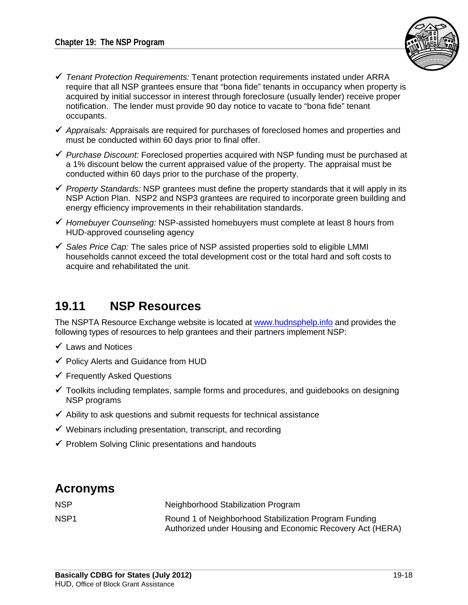

- *Tenant Protection Requirements:* Tenant protection requirements instated under ARRA require that all NSP grantees ensure that "bona fide" tenants in occupancy when property is acquired by initial successor in interest through foreclosure (usually lender) receive proper notification. The lender must provide 90 day notice to vacate to "bona fide" tenant occupants.
- *Appraisals:* Appraisals are required for purchases of foreclosed homes and properties and must be conducted within 60 days prior to final offer.
- *Purchase Discount:* Foreclosed properties acquired with NSP funding must be purchased at a 1% discount below the current appraised value of the property. The appraisal must be conducted within 60 days prior to the purchase of the property.
- *Property Standards:* NSP grantees must define the property standards that it will apply in its NSP Action Plan. NSP2 and NSP3 grantees are required to incorporate green building and energy efficiency improvements in their rehabilitation standards.
- *Homebuyer Counseling:* NSP-assisted homebuyers must complete at least 8 hours from HUD-approved counseling agency
- *Sales Price Cap:* The sales price of NSP assisted properties sold to eligible LMMI households cannot exceed the total development cost or the total hard and soft costs to acquire and rehabilitated the unit.

## **19.11 NSP Resources**

The NSPTA Resource Exchange website is located at www.hudnsphelp.info and provides the following types of resources to help grantees and their partners implement NSP:

- $\checkmark$  Laws and Notices
- $\checkmark$  Policy Alerts and Guidance from HUD
- Frequently Asked Questions
- $\checkmark$  Toolkits including templates, sample forms and procedures, and guidebooks on designing NSP programs
- $\checkmark$  Ability to ask questions and submit requests for technical assistance
- $\checkmark$  Webinars including presentation, transcript, and recording
- $\checkmark$  Problem Solving Clinic presentations and handouts

## **Acronyms**

| <b>NSP</b>       | Neighborhood Stabilization Program                                                                                 |
|------------------|--------------------------------------------------------------------------------------------------------------------|
| NSP <sub>1</sub> | Round 1 of Neighborhood Stabilization Program Funding<br>Authorized under Housing and Economic Recovery Act (HERA) |